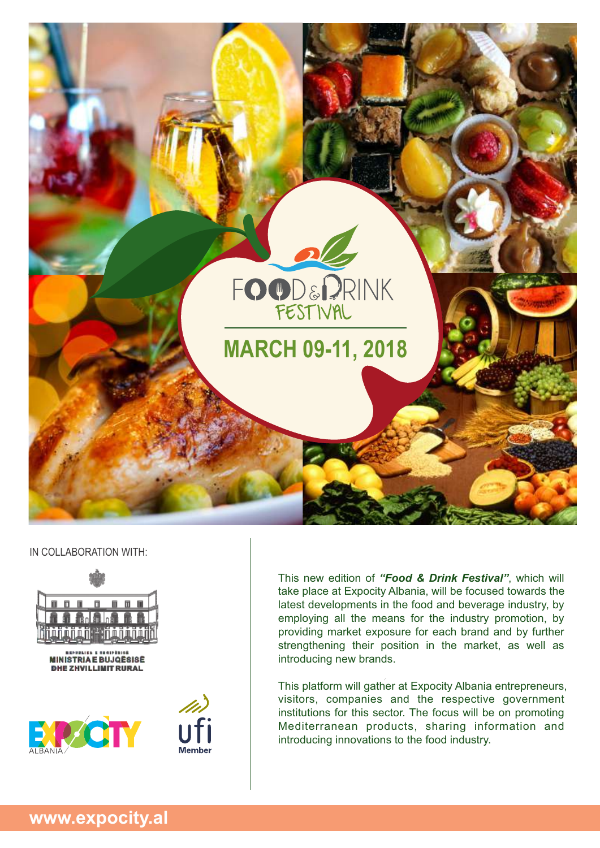

#### IN COLLABORATION WITH:



This new edition of *"Food & Drink Festival"*, which will take place at Expocity Albania, will be focused towards the latest developments in the food and beverage industry, by employing all the means for the industry promotion, by providing market exposure for each brand and by further strengthening their position in the market, as well as introducing new brands.

This platform will gather at Expocity Albania entrepreneurs, visitors, companies and the respective government institutions for this sector. The focus will be on promoting Mediterranean products, sharing information and introducing innovations to the food industry.

**www.expocity.al**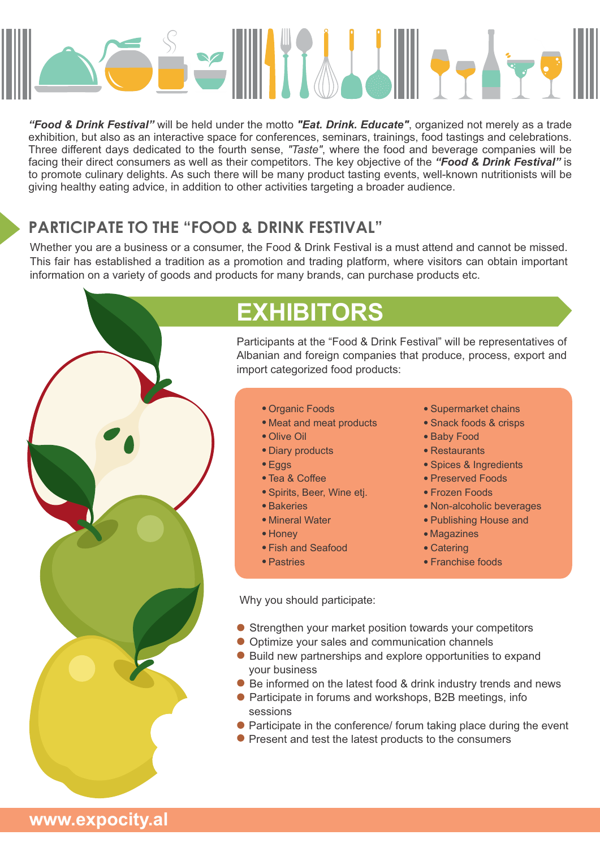

*"Food & Drink Festival"* will be held under the motto *"Eat. Drink. Educate"*, organized not merely as a trade exhibition, but also as an interactive space for conferences, seminars, trainings, food tastings and celebrations. Three different days dedicated to the fourth sense, *"Taste"*, where the food and beverage companies will be facing their direct consumers as well as their competitors. The key objective of the *"Food & Drink Festival"* is to promote culinary delights. As such there will be many product tasting events, well-known nutritionists will be giving healthy eating advice, in addition to other activities targeting a broader audience.

## **PARTICIPATE TO THE "FOOD & DRINK FESTIVAL"**

Whether you are a business or a consumer, the Food & Drink Festival is a must attend and cannot be missed. This fair has established a tradition as a promotion and trading platform, where visitors can obtain important information on a variety of goods and products for many brands, can purchase products etc.



## **EXHIBITORS**

Participants at the "Food & Drink Festival" will be representatives of Albanian and foreign companies that produce, process, export and import categorized food products:

- · Organic Foods
- · Meat and meat products
- · Olive Oil
- · Diary products
- · Eggs
- · Tea & Coffee
- · Spirits, Beer, Wine etj.
- · Bakeries
- · Mineral Water
- · Honey
- · Fish and Seafood
- · Pastries

· Supermarket chains

- · Snack foods & crisps
- · Baby Food
- · Restaurants
- · Spices & Ingredients
- · Preserved Foods
- · Frozen Foods
- · Non-alcoholic beverages
- · Publishing House and
- Magazines
- · Catering
- · Franchise foods

Why you should participate:

- **Strengthen your market position towards your competitors**
- Optimize your sales and communication channels
- Build new partnerships and explore opportunities to expand your business
- · Be informed on the latest food & drink industry trends and news
- · Participate in forums and workshops, B2B meetings, info sessions
- Participate in the conference/ forum taking place during the event
- Present and test the latest products to the consumers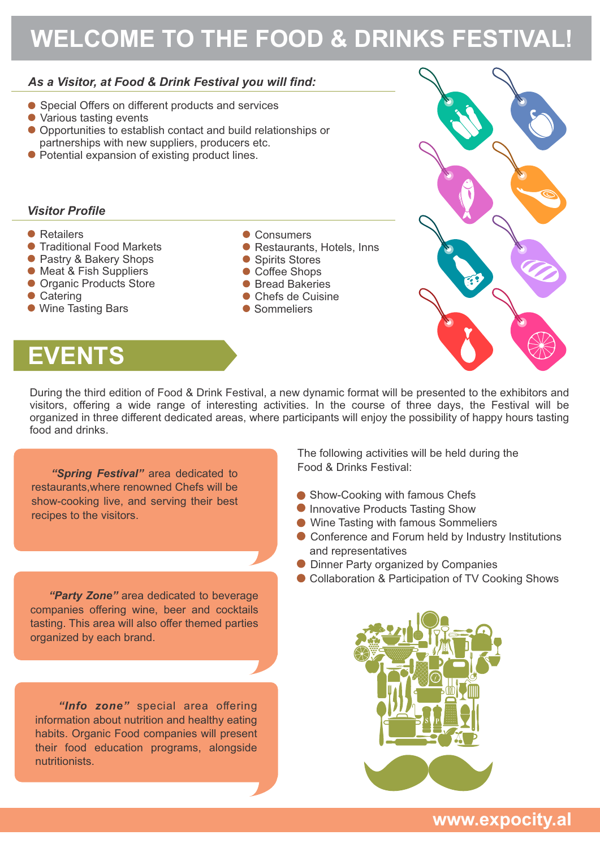# **WELCOME TO THE FOOD & DRINKS FESTIVAL!**

### *As a Visitor, at Food & Drink Festival you will find:*

- Special Offers on different products and services
- Various tasting events
- Opportunities to establish contact and build relationships or partnerships with new suppliers, producers etc.
- Potential expansion of existing product lines.

### *Visitor Profile*

- Retailers
- **Traditional Food Markets**
- Pastry & Bakery Shops
- **Meat & Fish Suppliers**
- **Organic Products Store**
- Catering
- Wine Tasting Bars
- Consumers
- · Restaurants, Hotels, Inns
- Spirits Stores
- Coffee Shops
- Bread Bakeries
- · Chefs de Cuisine
- Sommeliers



# **EVENTS**

During the third edition of Food & Drink Festival, a new dynamic format will be presented to the exhibitors and visitors, offering a wide range of interesting activities. In the course of three days, the Festival will be organized in three different dedicated areas, where participants will enjoy the possibility of happy hours tasting food and drinks.

*"Spring Festival"* area dedicated to restaurants,where renowned Chefs will be show-cooking live, and serving their best recipes to the visitors.

*"Party Zone"* area dedicated to beverage companies offering wine, beer and cocktails tasting. This area will also offer themed parties organized by each brand.

*"Info zone"* special area offering information about nutrition and healthy eating habits. Organic Food companies will present their food education programs, alongside nutritionists.

The following activities will be held during the Food & Drinks Festival:

- Show-Cooking with famous Chefs
- **Innovative Products Tasting Show**
- · Wine Tasting with famous Sommeliers
- · Conference and Forum held by Industry Institutions and representatives
- **Dinner Party organized by Companies**
- Collaboration & Participation of TV Cooking Shows